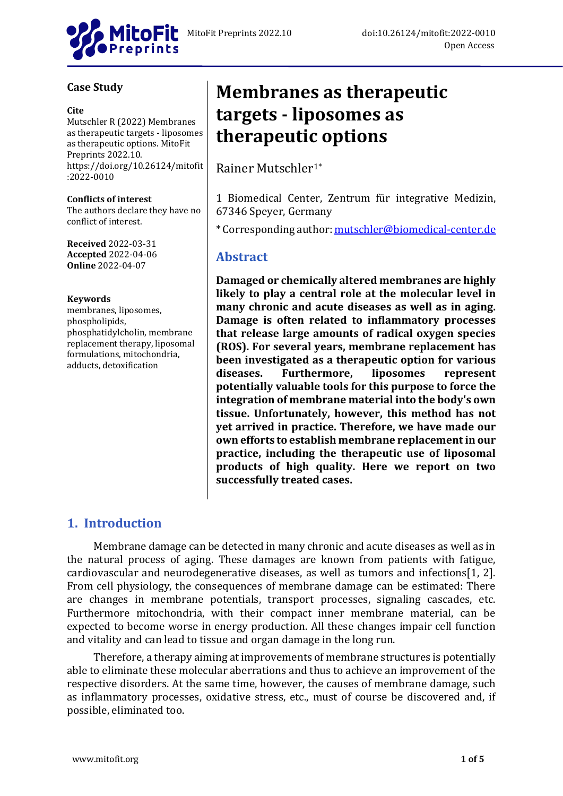

## **Case Study**

#### **Cite**

Mutschler R (2022) Membranes as therapeutic targets - liposomes as therapeutic options. MitoFit Preprints 2022.10. https://doi.org/10.26124/mitofit :2022-0010

#### **Conflicts of interest**

The authors declare they have no conflict of interest.

**Received** 2022-03-31 **Accepted** 2022-04-06 **Online** 2022-04-07

#### **Keywords**

membranes, liposomes, phospholipids, phosphatidylcholin, membrane replacement therapy, liposomal formulations, mitochondria, adducts, detoxification

# **Membranes as therapeutic targets - liposomes as therapeutic options**

Rainer Mutschler1\*

1 Biomedical Center, Zentrum für integrative Medizin, 67346 Speyer, Germany

\* Corresponding author: [mutschler@biomedical-center.de](mailto:mutschler@biomedical-center.de)

# **Abstract**

**Damaged or chemically altered membranes are highly likely to play a central role at the molecular level in many chronic and acute diseases as well as in aging. Damage is often related to inflammatory processes that release large amounts of radical oxygen species (ROS). For several years, membrane replacement has been investigated as a therapeutic option for various diseases. Furthermore, liposomes represent potentially valuable tools for this purpose to force the integration of membrane material into the body's own tissue. Unfortunately, however, this method has not yet arrived in practice. Therefore, we have made our own efforts to establish membrane replacement in our practice, including the therapeutic use of liposomal products of high quality. Here we report on two successfully treated cases.**

# **1. Introduction**

Membrane damage can be detected in many chronic and acute diseases as well as in the natural process of aging. These damages are known from patients with fatigue, cardiovascular and neurodegenerative diseases, as well as tumors and infections[1, 2]. From cell physiology, the consequences of membrane damage can be estimated: There are changes in membrane potentials, transport processes, signaling cascades, etc. Furthermore mitochondria, with their compact inner membrane material, can be expected to become worse in energy production. All these changes impair cell function and vitality and can lead to tissue and organ damage in the long run.

Therefore, a therapy aiming at improvements of membrane structures is potentially able to eliminate these molecular aberrations and thus to achieve an improvement of the respective disorders. At the same time, however, the causes of membrane damage, such as inflammatory processes, oxidative stress, etc., must of course be discovered and, if possible, eliminated too.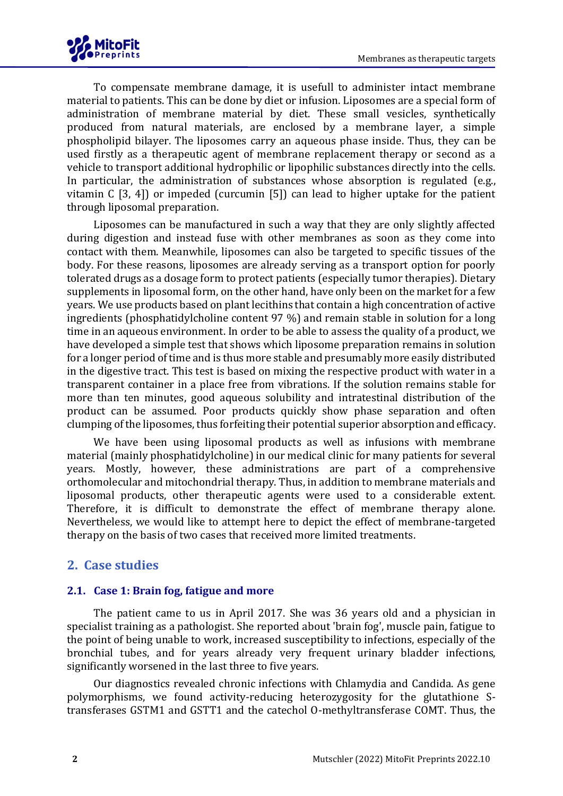

To compensate membrane damage, it is usefull to administer intact membrane material to patients. This can be done by diet or infusion. Liposomes are a special form of administration of membrane material by diet. These small vesicles, synthetically produced from natural materials, are enclosed by a membrane layer, a simple phospholipid bilayer. The liposomes carry an aqueous phase inside. Thus, they can be used firstly as a therapeutic agent of membrane replacement therapy or second as a vehicle to transport additional hydrophilic or lipophilic substances directly into the cells. In particular, the administration of substances whose absorption is regulated (e.g., vitamin C [3, 4]) or impeded (curcumin [5]) can lead to higher uptake for the patient through liposomal preparation.

Liposomes can be manufactured in such a way that they are only slightly affected during digestion and instead fuse with other membranes as soon as they come into contact with them. Meanwhile, liposomes can also be targeted to specific tissues of the body. For these reasons, liposomes are already serving as a transport option for poorly tolerated drugs as a dosage form to protect patients (especially tumor therapies). Dietary supplements in liposomal form, on the other hand, have only been on the market for a few years. We use products based on plant lecithins that contain a high concentration of active ingredients (phosphatidylcholine content 97 %) and remain stable in solution for a long time in an aqueous environment. In order to be able to assess the quality of a product, we have developed a simple test that shows which liposome preparation remains in solution for a longer period of time and is thus more stable and presumably more easily distributed in the digestive tract. This test is based on mixing the respective product with water in a transparent container in a place free from vibrations. If the solution remains stable for more than ten minutes, good aqueous solubility and intratestinal distribution of the product can be assumed. Poor products quickly show phase separation and often clumping of the liposomes, thus forfeiting their potential superior absorption and efficacy.

We have been using liposomal products as well as infusions with membrane material (mainly phosphatidylcholine) in our medical clinic for many patients for several years. Mostly, however, these administrations are part of a comprehensive orthomolecular and mitochondrial therapy. Thus, in addition to membrane materials and liposomal products, other therapeutic agents were used to a considerable extent. Therefore, it is difficult to demonstrate the effect of membrane therapy alone. Nevertheless, we would like to attempt here to depict the effect of membrane-targeted therapy on the basis of two cases that received more limited treatments.

# **2. Case studies**

## **2.1. Case 1: Brain fog, fatigue and more**

The patient came to us in April 2017. She was 36 years old and a physician in specialist training as a pathologist. She reported about 'brain fog', muscle pain, fatigue to the point of being unable to work, increased susceptibility to infections, especially of the bronchial tubes, and for years already very frequent urinary bladder infections, significantly worsened in the last three to five years.

Our diagnostics revealed chronic infections with Chlamydia and Candida. As gene polymorphisms, we found activity-reducing heterozygosity for the glutathione Stransferases GSTM1 and GSTT1 and the catechol O-methyltransferase COMT. Thus, the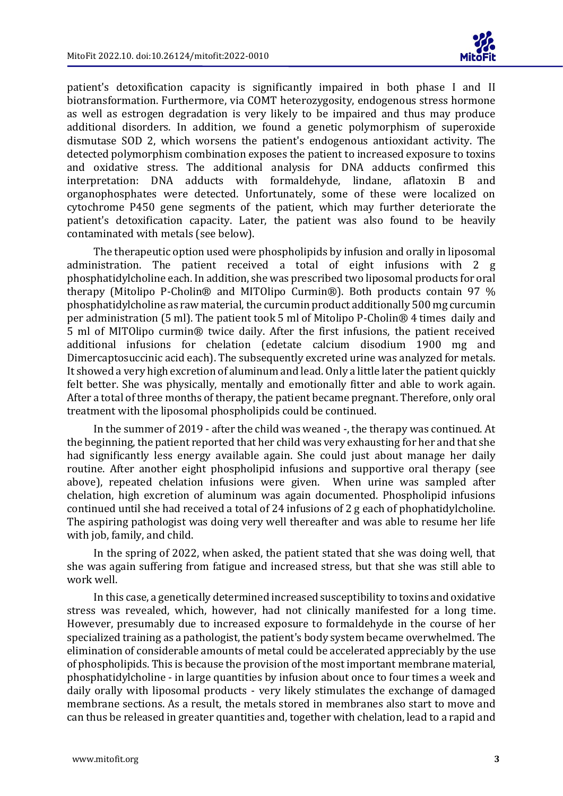

patient's detoxification capacity is significantly impaired in both phase I and II biotransformation. Furthermore, via COMT heterozygosity, endogenous stress hormone as well as estrogen degradation is very likely to be impaired and thus may produce additional disorders. In addition, we found a genetic polymorphism of superoxide dismutase SOD 2, which worsens the patient's endogenous antioxidant activity. The detected polymorphism combination exposes the patient to increased exposure to toxins and oxidative stress. The additional analysis for DNA adducts confirmed this interpretation: DNA adducts with formaldehyde, lindane, aflatoxin B and organophosphates were detected. Unfortunately, some of these were localized on cytochrome P450 gene segments of the patient, which may further deteriorate the patient's detoxification capacity. Later, the patient was also found to be heavily contaminated with metals (see below).

The therapeutic option used were phospholipids by infusion and orally in liposomal administration. The patient received a total of eight infusions with 2 g phosphatidylcholine each. In addition, she was prescribed two liposomal products for oral therapy (Mitolipo P-Cholin® and MITOlipo Curmin®). Both products contain 97 % phosphatidylcholine as raw material, the curcumin product additionally 500 mg curcumin per administration (5 ml). The patient took 5 ml of Mitolipo P-Cholin® 4 times daily and 5 ml of MITOlipo curmin® twice daily. After the first infusions, the patient received additional infusions for chelation (edetate calcium disodium 1900 mg and Dimercaptosuccinic acid each). The subsequently excreted urine was analyzed for metals. It showed a very high excretion of aluminum and lead. Only a little later the patient quickly felt better. She was physically, mentally and emotionally fitter and able to work again. After a total of three months of therapy, the patient became pregnant. Therefore, only oral treatment with the liposomal phospholipids could be continued.

In the summer of 2019 - after the child was weaned -, the therapy was continued. At the beginning, the patient reported that her child was very exhausting for her and that she had significantly less energy available again. She could just about manage her daily routine. After another eight phospholipid infusions and supportive oral therapy (see above), repeated chelation infusions were given. When urine was sampled after chelation, high excretion of aluminum was again documented. Phospholipid infusions continued until she had received a total of 24 infusions of 2 g each of phophatidylcholine. The aspiring pathologist was doing very well thereafter and was able to resume her life with job, family, and child.

In the spring of 2022, when asked, the patient stated that she was doing well, that she was again suffering from fatigue and increased stress, but that she was still able to work well.

In this case, a genetically determined increased susceptibility to toxins and oxidative stress was revealed, which, however, had not clinically manifested for a long time. However, presumably due to increased exposure to formaldehyde in the course of her specialized training as a pathologist, the patient's body system became overwhelmed. The elimination of considerable amounts of metal could be accelerated appreciably by the use of phospholipids. This is because the provision of the most important membrane material, phosphatidylcholine - in large quantities by infusion about once to four times a week and daily orally with liposomal products - very likely stimulates the exchange of damaged membrane sections. As a result, the metals stored in membranes also start to move and can thus be released in greater quantities and, together with chelation, lead to a rapid and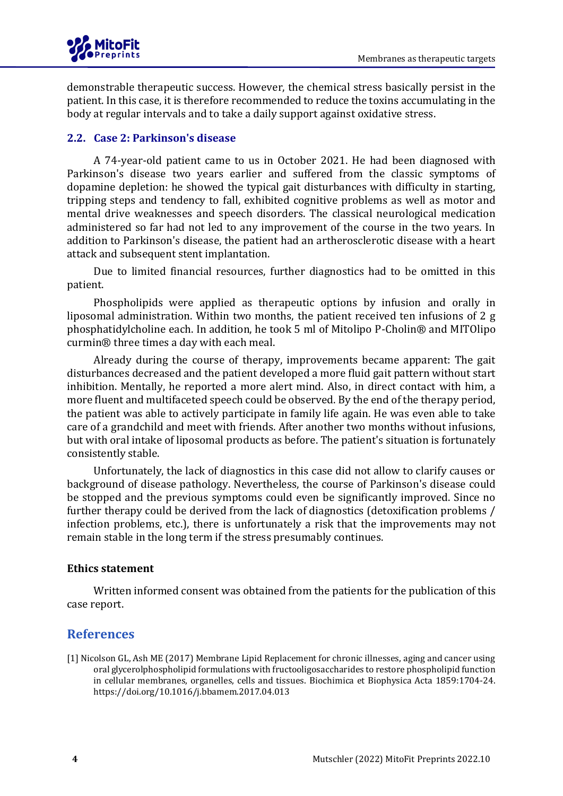

demonstrable therapeutic success. However, the chemical stress basically persist in the patient. In this case, it is therefore recommended to reduce the toxins accumulating in the body at regular intervals and to take a daily support against oxidative stress.

### **2.2. Case 2: Parkinson's disease**

A 74-year-old patient came to us in October 2021. He had been diagnosed with Parkinson's disease two years earlier and suffered from the classic symptoms of dopamine depletion: he showed the typical gait disturbances with difficulty in starting, tripping steps and tendency to fall, exhibited cognitive problems as well as motor and mental drive weaknesses and speech disorders. The classical neurological medication administered so far had not led to any improvement of the course in the two years. In addition to Parkinson's disease, the patient had an artherosclerotic disease with a heart attack and subsequent stent implantation.

Due to limited financial resources, further diagnostics had to be omitted in this patient.

Phospholipids were applied as therapeutic options by infusion and orally in liposomal administration. Within two months, the patient received ten infusions of 2 g phosphatidylcholine each. In addition, he took 5 ml of Mitolipo P-Cholin® and MITOlipo curmin® three times a day with each meal.

Already during the course of therapy, improvements became apparent: The gait disturbances decreased and the patient developed a more fluid gait pattern without start inhibition. Mentally, he reported a more alert mind. Also, in direct contact with him, a more fluent and multifaceted speech could be observed. By the end of the therapy period, the patient was able to actively participate in family life again. He was even able to take care of a grandchild and meet with friends. After another two months without infusions, but with oral intake of liposomal products as before. The patient's situation is fortunately consistently stable.

Unfortunately, the lack of diagnostics in this case did not allow to clarify causes or background of disease pathology. Nevertheless, the course of Parkinson's disease could be stopped and the previous symptoms could even be significantly improved. Since no further therapy could be derived from the lack of diagnostics (detoxification problems / infection problems, etc.), there is unfortunately a risk that the improvements may not remain stable in the long term if the stress presumably continues.

#### **Ethics statement**

Written informed consent was obtained from the patients for the publication of this case report.

# **References**

[1] Nicolson GL, Ash ME (2017) Membrane Lipid Replacement for chronic illnesses, aging and cancer using oral glycerolphospholipid formulations with fructooligosaccharides to restore phospholipid function in cellular membranes, organelles, cells and tissues. Biochimica et Biophysica Acta 1859:1704-24. https://doi.org/10.1016/j.bbamem.2017.04.013